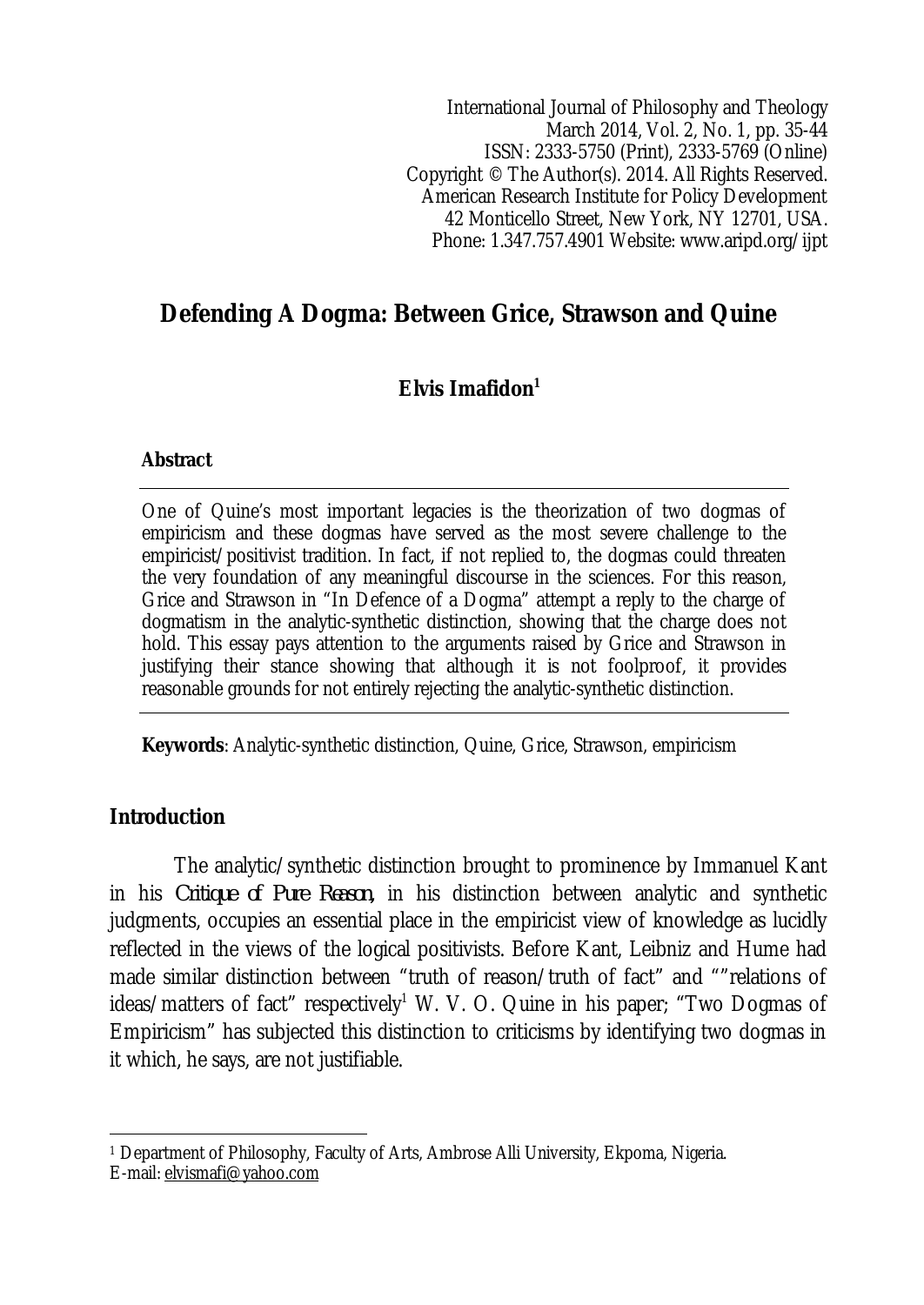International Journal of Philosophy and Theology March 2014, Vol. 2, No. 1, pp. 35-44 ISSN: 2333-5750 (Print), 2333-5769 (Online) Copyright © The Author(s). 2014. All Rights Reserved. American Research Institute for Policy Development 42 Monticello Street, New York, NY 12701, USA. Phone: 1.347.757.4901 Website: www.aripd.org/ijpt

# **Defending A Dogma: Between Grice, Strawson and Quine**

## **Elvis Imafidon<sup>1</sup>**

#### **Abstract**

One of Quine's most important legacies is the theorization of two dogmas of empiricism and these dogmas have served as the most severe challenge to the empiricist/positivist tradition. In fact, if not replied to, the dogmas could threaten the very foundation of any meaningful discourse in the sciences. For this reason, Grice and Strawson in "In Defence of a Dogma" attempt a reply to the charge of dogmatism in the analytic-synthetic distinction, showing that the charge does not hold. This essay pays attention to the arguments raised by Grice and Strawson in justifying their stance showing that although it is not foolproof, it provides reasonable grounds for not entirely rejecting the analytic-synthetic distinction.

**Keywords**: Analytic-synthetic distinction, Quine, Grice, Strawson, empiricism

### **Introduction**

The analytic/synthetic distinction brought to prominence by Immanuel Kant in his *Critique of Pure Reason,* in his distinction between analytic and synthetic judgments, occupies an essential place in the empiricist view of knowledge as lucidly reflected in the views of the logical positivists. Before Kant, Leibniz and Hume had made similar distinction between "truth of reason/truth of fact" and ""relations of ideas/matters of fact" respectively<sup>1</sup> W. V. O. Quine in his paper; "Two Dogmas of Empiricism" has subjected this distinction to criticisms by identifying two dogmas in it which, he says, are not justifiable.

 $\overline{\phantom{a}}$ <sup>1</sup> Department of Philosophy, Faculty of Arts, Ambrose Alli University, Ekpoma, Nigeria.

E-mail: elvismafi@yahoo.com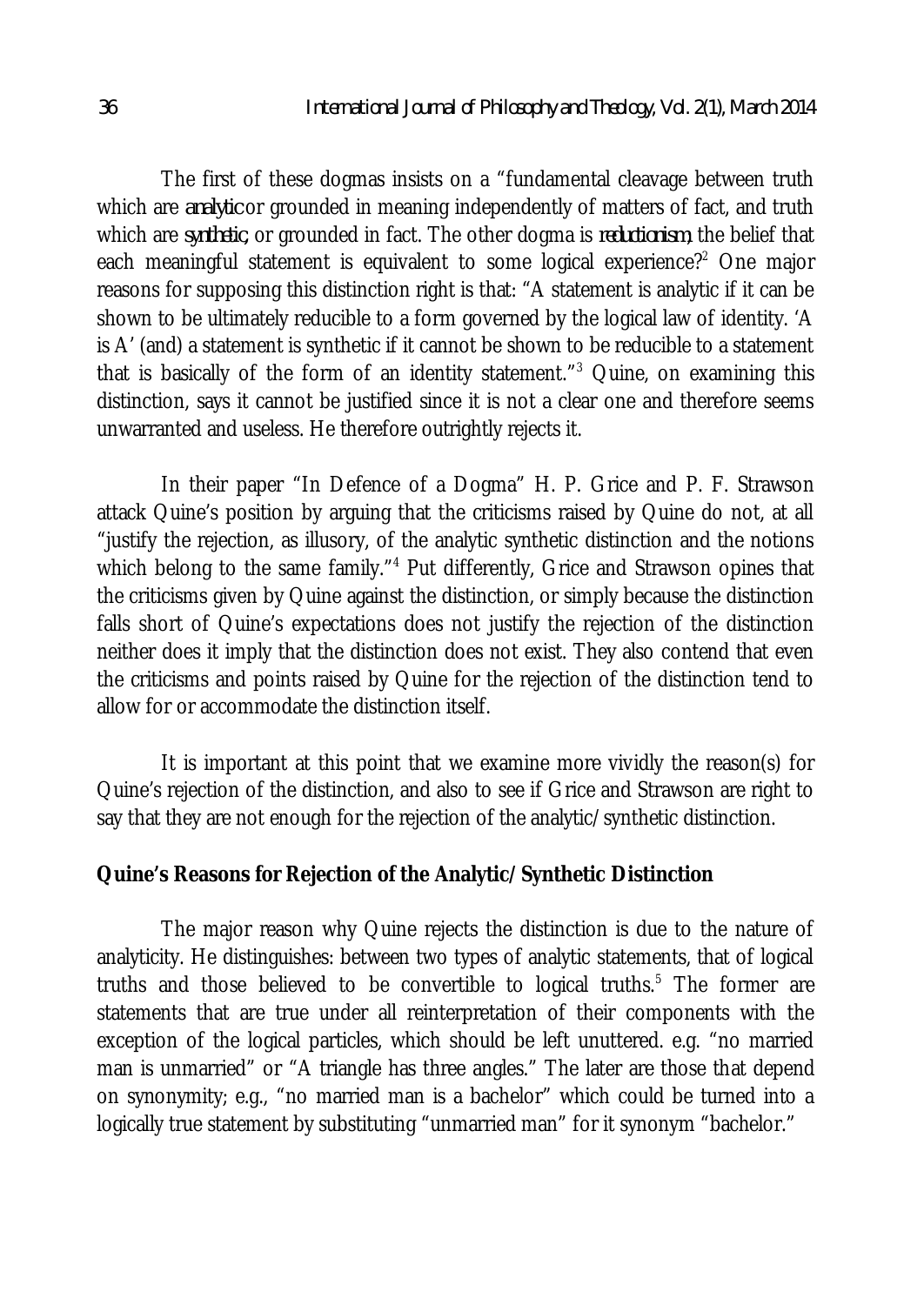The first of these dogmas insists on a "fundamental cleavage between truth which are *analytic* or grounded in meaning independently of matters of fact, and truth which are *synthetic,* or grounded in fact. The other dogma is *reductionism*; the belief that each meaningful statement is equivalent to some logical experience?<sup>2</sup> One major reasons for supposing this distinction right is that: "A statement is analytic if it can be shown to be ultimately reducible to a form governed by the logical law of identity. 'A is A' (and) a statement is synthetic if it cannot be shown to be reducible to a statement that is basically of the form of an identity statement." $3$  Quine, on examining this distinction, says it cannot be justified since it is not a clear one and therefore seems unwarranted and useless. He therefore outrightly rejects it.

In their paper "In Defence of a Dogma" H. P. Grice and P. F. Strawson attack Quine's position by arguing that the criticisms raised by Quine do not, at all "justify the rejection, as illusory, of the analytic synthetic distinction and the notions which belong to the same family."<sup>4</sup> Put differently, Grice and Strawson opines that the criticisms given by Quine against the distinction, or simply because the distinction falls short of Quine's expectations does not justify the rejection of the distinction neither does it imply that the distinction does not exist. They also contend that even the criticisms and points raised by Quine for the rejection of the distinction tend to allow for or accommodate the distinction itself.

It is important at this point that we examine more vividly the reason(s) for Quine's rejection of the distinction, and also to see if Grice and Strawson are right to say that they are not enough for the rejection of the analytic/synthetic distinction.

#### **Quine's Reasons for Rejection of the Analytic/Synthetic Distinction**

The major reason why Quine rejects the distinction is due to the nature of analyticity. He distinguishes: between two types of analytic statements, that of logical truths and those believed to be convertible to logical truths.<sup>5</sup> The former are statements that are true under all reinterpretation of their components with the exception of the logical particles, which should be left unuttered. e.g. "no married man is unmarried" or "A triangle has three angles." The later are those that depend on synonymity; e.g., "no married man is a bachelor" which could be turned into a logically true statement by substituting "unmarried man" for it synonym "bachelor."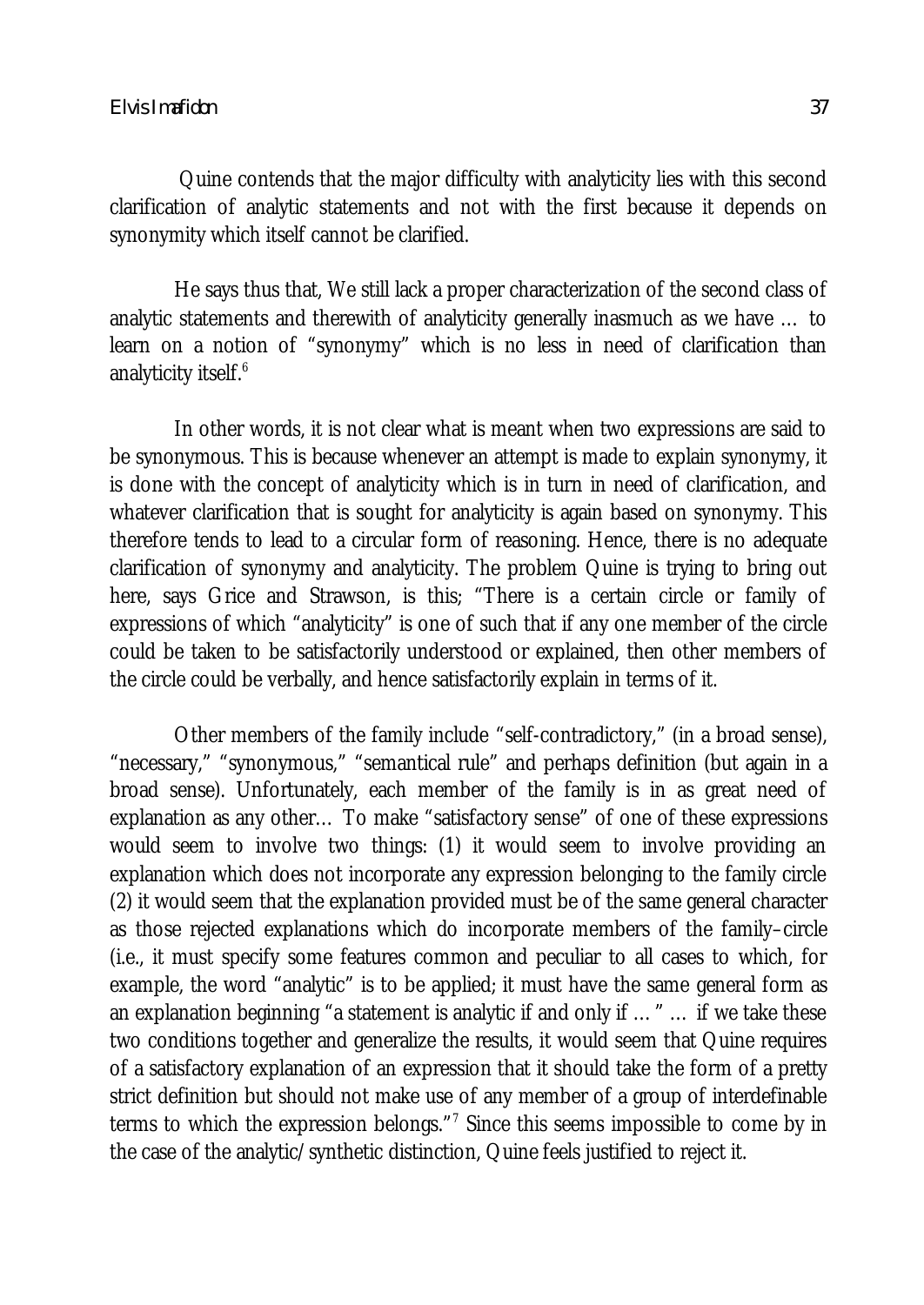#### *Elvis Imafidon 37*

Quine contends that the major difficulty with analyticity lies with this second clarification of analytic statements and not with the first because it depends on synonymity which itself cannot be clarified.

He says thus that, We still lack a proper characterization of the second class of analytic statements and therewith of analyticity generally inasmuch as we have … to learn on a notion of "synonymy" which is no less in need of clarification than analyticity itself.<sup>6</sup>

In other words, it is not clear what is meant when two expressions are said to be synonymous. This is because whenever an attempt is made to explain synonymy, it is done with the concept of analyticity which is in turn in need of clarification, and whatever clarification that is sought for analyticity is again based on synonymy. This therefore tends to lead to a circular form of reasoning. Hence, there is no adequate clarification of synonymy and analyticity. The problem Quine is trying to bring out here, says Grice and Strawson, is this; "There is a certain circle or family of expressions of which "analyticity" is one of such that if any one member of the circle could be taken to be satisfactorily understood or explained, then other members of the circle could be verbally, and hence satisfactorily explain in terms of it.

Other members of the family include "self-contradictory," (in a broad sense), "necessary," "synonymous," "semantical rule" and perhaps definition (but again in a broad sense). Unfortunately, each member of the family is in as great need of explanation as any other… To make "satisfactory sense" of one of these expressions would seem to involve two things: (1) it would seem to involve providing an explanation which does not incorporate any expression belonging to the family circle (2) it would seem that the explanation provided must be of the same general character as those rejected explanations which do incorporate members of the family–circle (i.e., it must specify some features common and peculiar to all cases to which, for example, the word "analytic" is to be applied; it must have the same general form as an explanation beginning "a statement is analytic if and only if …" … if we take these two conditions together and generalize the results, it would seem that Quine requires of a satisfactory explanation of an expression that it should take the form of a pretty strict definition but should not make use of any member of a group of interdefinable terms to which the expression belongs."<sup>7</sup> Since this seems impossible to come by in the case of the analytic/synthetic distinction, Quine feels justified to reject it.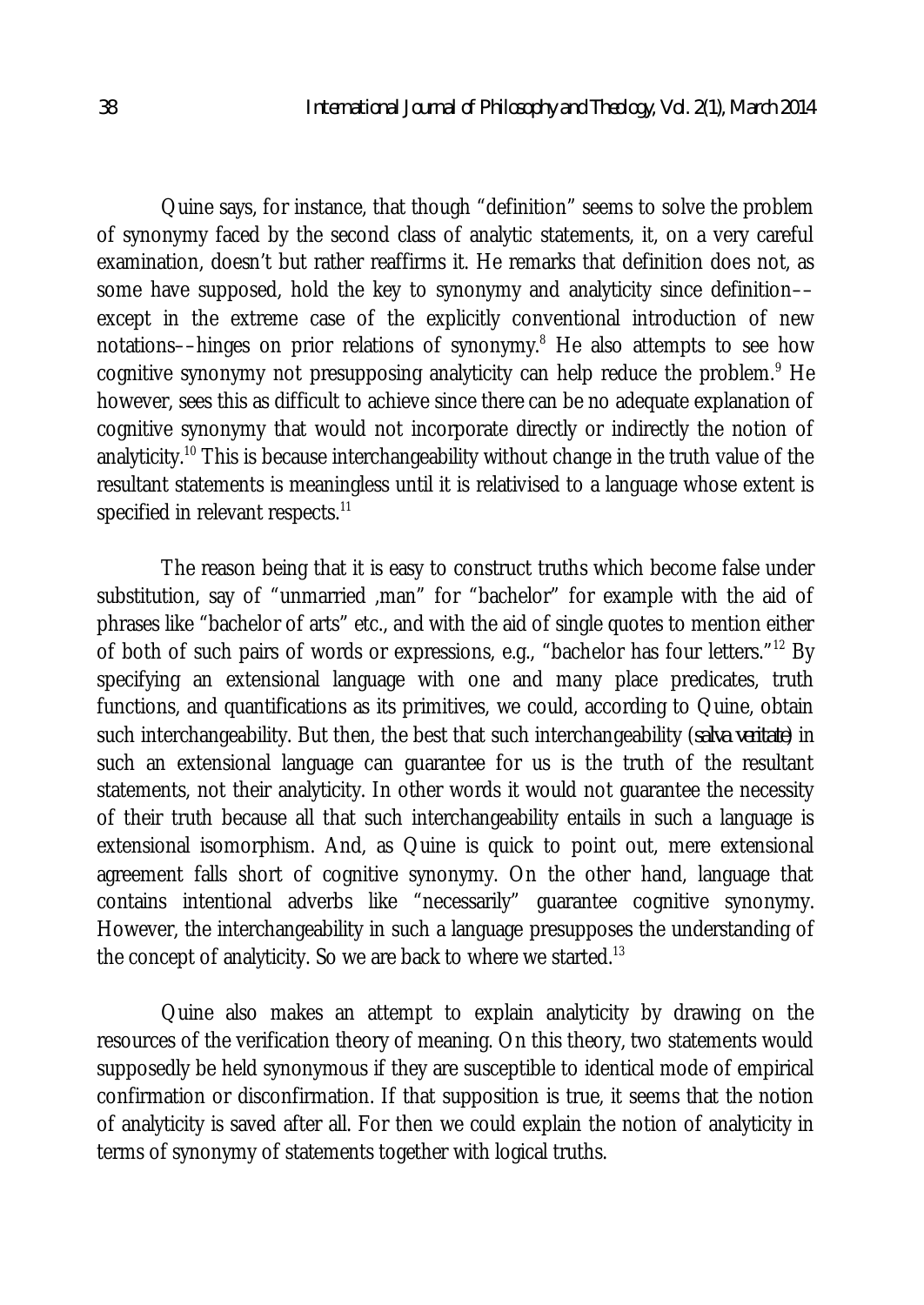Quine says, for instance, that though "definition" seems to solve the problem of synonymy faced by the second class of analytic statements, it, on a very careful examination, doesn't but rather reaffirms it. He remarks that definition does not, as some have supposed, hold the key to synonymy and analyticity since definition–– except in the extreme case of the explicitly conventional introduction of new notations––hinges on prior relations of synonymy.<sup>8</sup> He also attempts to see how cognitive synonymy not presupposing analyticity can help reduce the problem.<sup>9</sup> He however, sees this as difficult to achieve since there can be no adequate explanation of cognitive synonymy that would not incorporate directly or indirectly the notion of analyticity.<sup>10</sup> This is because interchangeability without change in the truth value of the resultant statements is meaningless until it is relativised to a language whose extent is specified in relevant respects.<sup>11</sup>

The reason being that it is easy to construct truths which become false under substitution, say of "unmarried ,man" for "bachelor" for example with the aid of phrases like "bachelor of arts" etc., and with the aid of single quotes to mention either of both of such pairs of words or expressions, e.g., "bachelor has four letters."<sup>12</sup> By specifying an extensional language with one and many place predicates, truth functions, and quantifications as its primitives, we could, according to Quine, obtain such interchangeability. But then, the best that such interchangeability (*salva veritate*) in such an extensional language can guarantee for us is the truth of the resultant statements, not their analyticity. In other words it would not guarantee the necessity of their truth because all that such interchangeability entails in such a language is extensional isomorphism. And, as Quine is quick to point out, mere extensional agreement falls short of cognitive synonymy. On the other hand, language that contains intentional adverbs like "necessarily" guarantee cognitive synonymy. However, the interchangeability in such a language presupposes the understanding of the concept of analyticity. So we are back to where we started. $^{13}$ 

Quine also makes an attempt to explain analyticity by drawing on the resources of the verification theory of meaning. On this theory, two statements would supposedly be held synonymous if they are susceptible to identical mode of empirical confirmation or disconfirmation. If that supposition is true, it seems that the notion of analyticity is saved after all. For then we could explain the notion of analyticity in terms of synonymy of statements together with logical truths.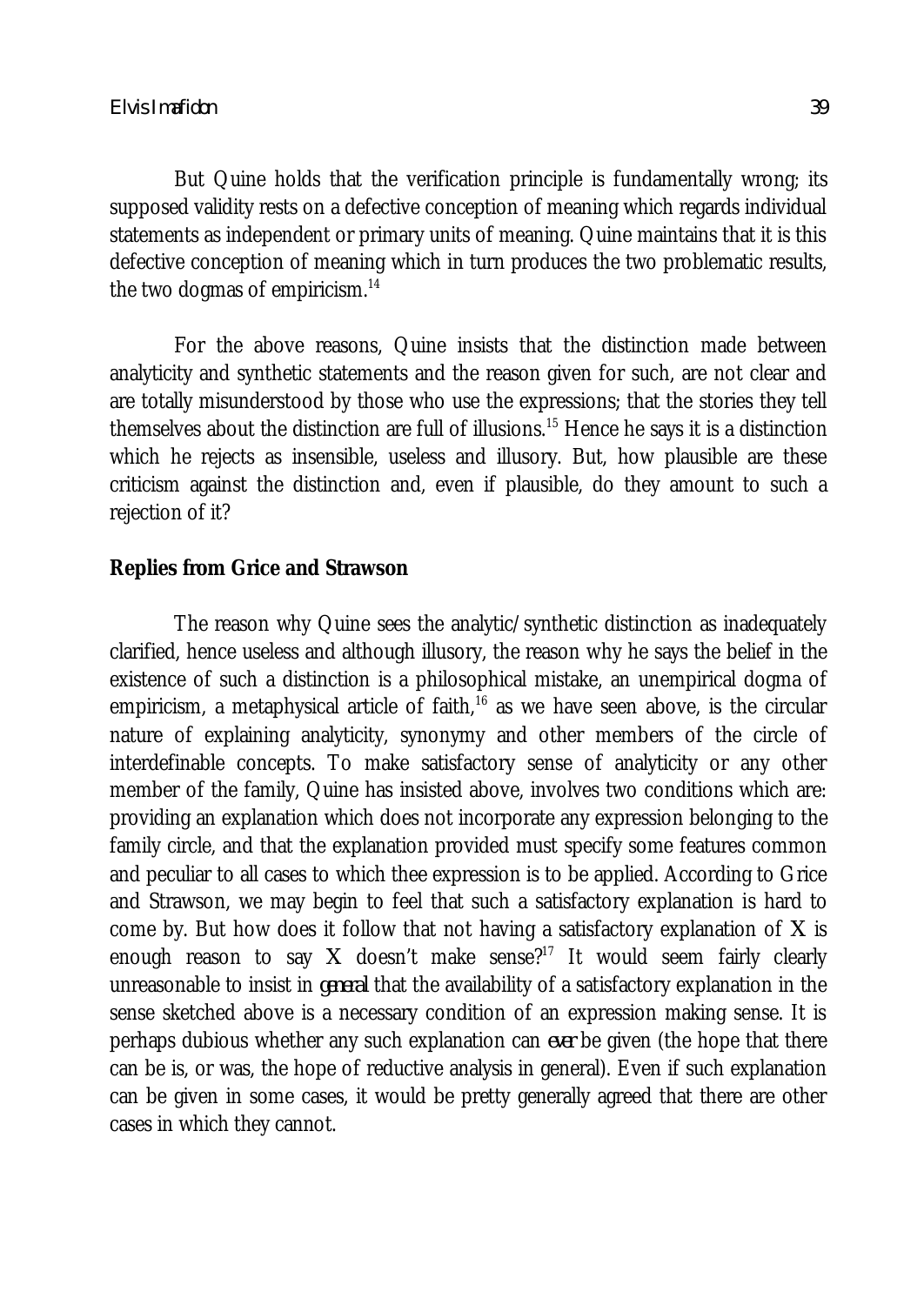But Quine holds that the verification principle is fundamentally wrong; its supposed validity rests on a defective conception of meaning which regards individual statements as independent or primary units of meaning. Quine maintains that it is this defective conception of meaning which in turn produces the two problematic results, the two dogmas of empiricism.<sup>14</sup>

For the above reasons, Quine insists that the distinction made between analyticity and synthetic statements and the reason given for such, are not clear and are totally misunderstood by those who use the expressions; that the stories they tell themselves about the distinction are full of illusions.<sup>15</sup> Hence he says it is a distinction which he rejects as insensible, useless and illusory. But, how plausible are these criticism against the distinction and, even if plausible, do they amount to such a rejection of it?

### **Replies from Grice and Strawson**

The reason why Quine sees the analytic/synthetic distinction as inadequately clarified, hence useless and although illusory, the reason why he says the belief in the existence of such a distinction is a philosophical mistake, an unempirical dogma of empiricism, a metaphysical article of faith, $16$  as we have seen above, is the circular nature of explaining analyticity, synonymy and other members of the circle of interdefinable concepts. To make satisfactory sense of analyticity or any other member of the family, Quine has insisted above, involves two conditions which are: providing an explanation which does not incorporate any expression belonging to the family circle, and that the explanation provided must specify some features common and peculiar to all cases to which thee expression is to be applied. According to Grice and Strawson, we may begin to feel that such a satisfactory explanation is hard to come by. But how does it follow that not having a satisfactory explanation of *X* is enough reason to say  $X$  doesn't make sense?<sup>17</sup> It would seem fairly clearly unreasonable to insist in *general* that the availability of a satisfactory explanation in the sense sketched above is a necessary condition of an expression making sense. It is perhaps dubious whether any such explanation can *ever* be given (the hope that there can be is, or was, the hope of reductive analysis in general). Even if such explanation can be given in some cases, it would be pretty generally agreed that there are other cases in which they cannot.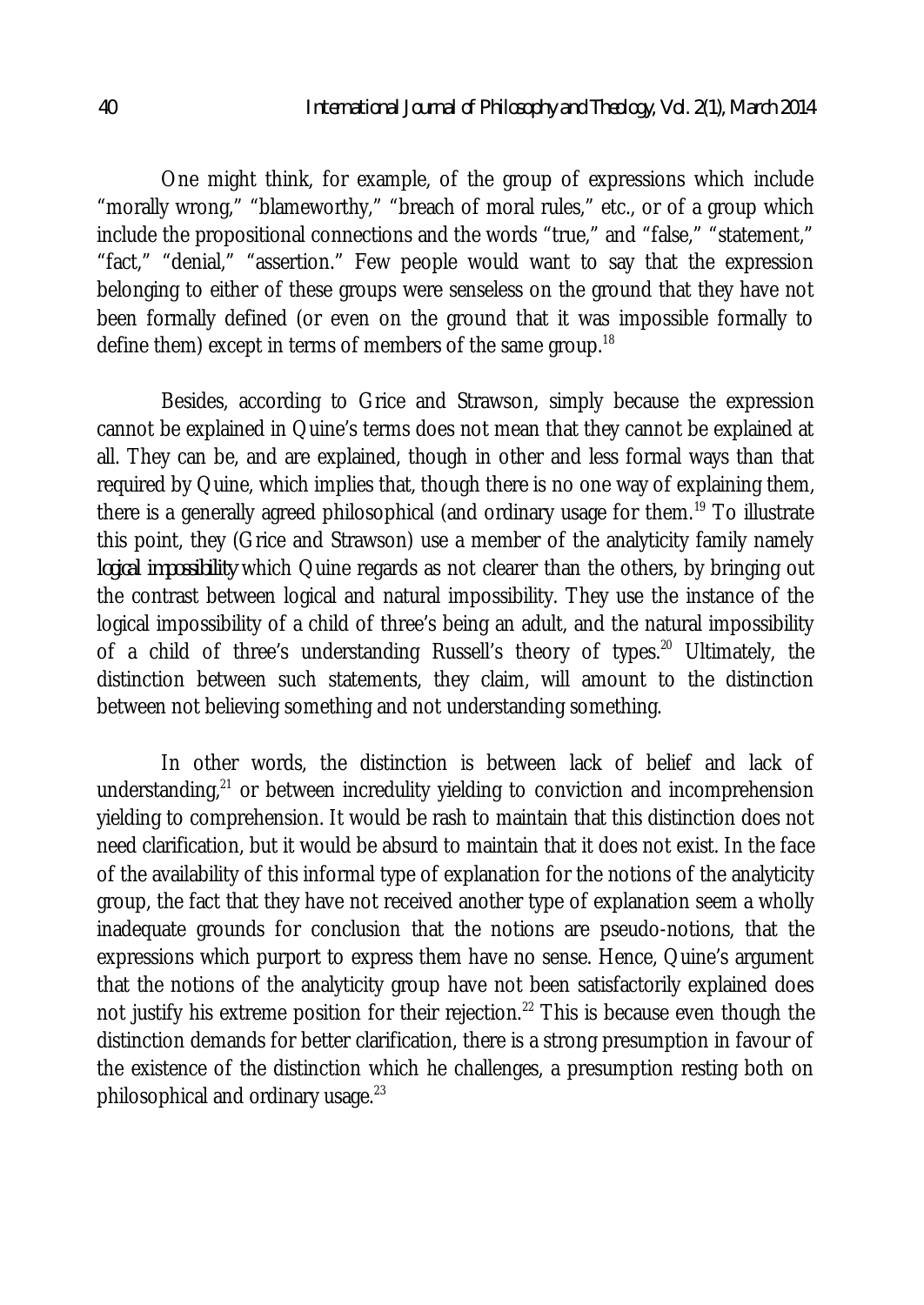One might think, for example, of the group of expressions which include "morally wrong," "blameworthy," "breach of moral rules," etc., or of a group which include the propositional connections and the words "true," and "false," "statement," "fact," "denial," "assertion." Few people would want to say that the expression belonging to either of these groups were senseless on the ground that they have not been formally defined (or even on the ground that it was impossible formally to define them) except in terms of members of the same group. $^\mathrm{18}$ 

Besides, according to Grice and Strawson, simply because the expression cannot be explained in Quine's terms does not mean that they cannot be explained at all. They can be, and are explained, though in other and less formal ways than that required by Quine, which implies that, though there is no one way of explaining them, there is a generally agreed philosophical (and ordinary usage for them.<sup>19</sup> To illustrate this point, they (Grice and Strawson) use a member of the analyticity family namely *logical impossibility* which Quine regards as not clearer than the others, by bringing out the contrast between logical and natural impossibility. They use the instance of the logical impossibility of a child of three's being an adult, and the natural impossibility of a child of three's understanding Russell's theory of types.<sup>20</sup> Ultimately, the distinction between such statements, they claim, will amount to the distinction between not believing something and not understanding something.

In other words, the distinction is between lack of belief and lack of understanding, $^{21}$  or between incredulity yielding to conviction and incomprehension yielding to comprehension. It would be rash to maintain that this distinction does not need clarification, but it would be absurd to maintain that it does not exist. In the face of the availability of this informal type of explanation for the notions of the analyticity group, the fact that they have not received another type of explanation seem a wholly inadequate grounds for conclusion that the notions are pseudo-notions, that the expressions which purport to express them have no sense. Hence, Quine's argument that the notions of the analyticity group have not been satisfactorily explained does not justify his extreme position for their rejection.<sup>22</sup> This is because even though the distinction demands for better clarification, there is a strong presumption in favour of the existence of the distinction which he challenges, a presumption resting both on philosophical and ordinary usage. $^{23}$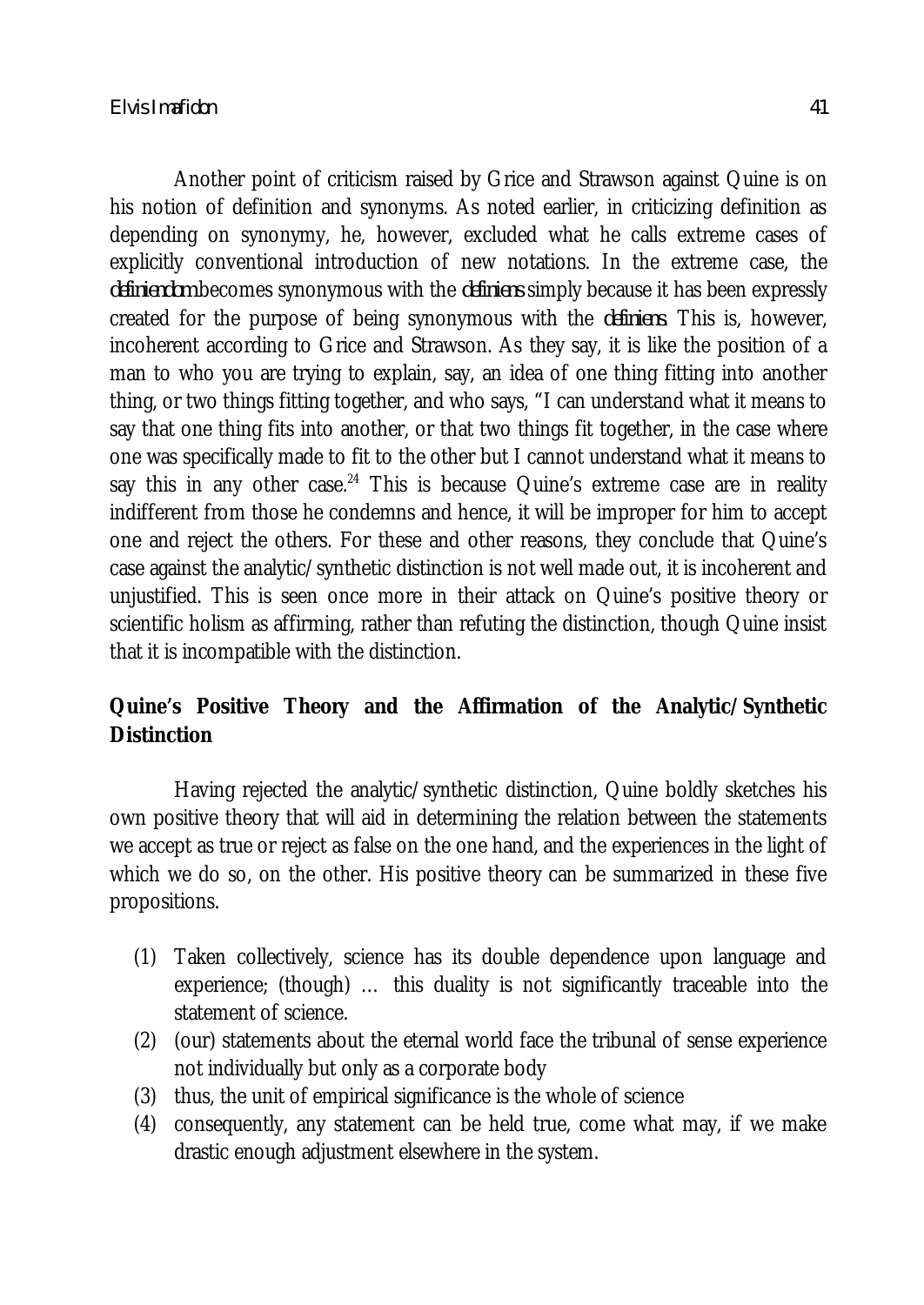Another point of criticism raised by Grice and Strawson against Quine is on his notion of definition and synonyms. As noted earlier, in criticizing definition as depending on synonymy, he, however, excluded what he calls extreme cases of explicitly conventional introduction of new notations. In the extreme case, the *definiendom* becomes synonymous with the *definiens* simply because it has been expressly created for the purpose of being synonymous with the *definiens*. This is, however, incoherent according to Grice and Strawson. As they say, it is like the position of a man to who you are trying to explain, say, an idea of one thing fitting into another thing, or two things fitting together, and who says, "I can understand what it means to say that one thing fits into another, or that two things fit together, in the case where one was specifically made to fit to the other but I cannot understand what it means to say this in any other case.<sup>24</sup> This is because Quine's extreme case are in reality indifferent from those he condemns and hence, it will be improper for him to accept one and reject the others. For these and other reasons, they conclude that Quine's case against the analytic/synthetic distinction is not well made out, it is incoherent and unjustified. This is seen once more in their attack on Quine's positive theory or scientific holism as affirming, rather than refuting the distinction, though Quine insist that it is incompatible with the distinction.

# **Quine's Positive Theory and the Affirmation of the Analytic/Synthetic Distinction**

Having rejected the analytic/synthetic distinction, Quine boldly sketches his own positive theory that will aid in determining the relation between the statements we accept as true or reject as false on the one hand, and the experiences in the light of which we do so, on the other. His positive theory can be summarized in these five propositions.

- (1) Taken collectively, science has its double dependence upon language and experience; (though) … this duality is not significantly traceable into the statement of science.
- (2) (our) statements about the eternal world face the tribunal of sense experience not individually but only as a corporate body
- (3) thus, the unit of empirical significance is the whole of science
- (4) consequently, any statement can be held true, come what may, if we make drastic enough adjustment elsewhere in the system.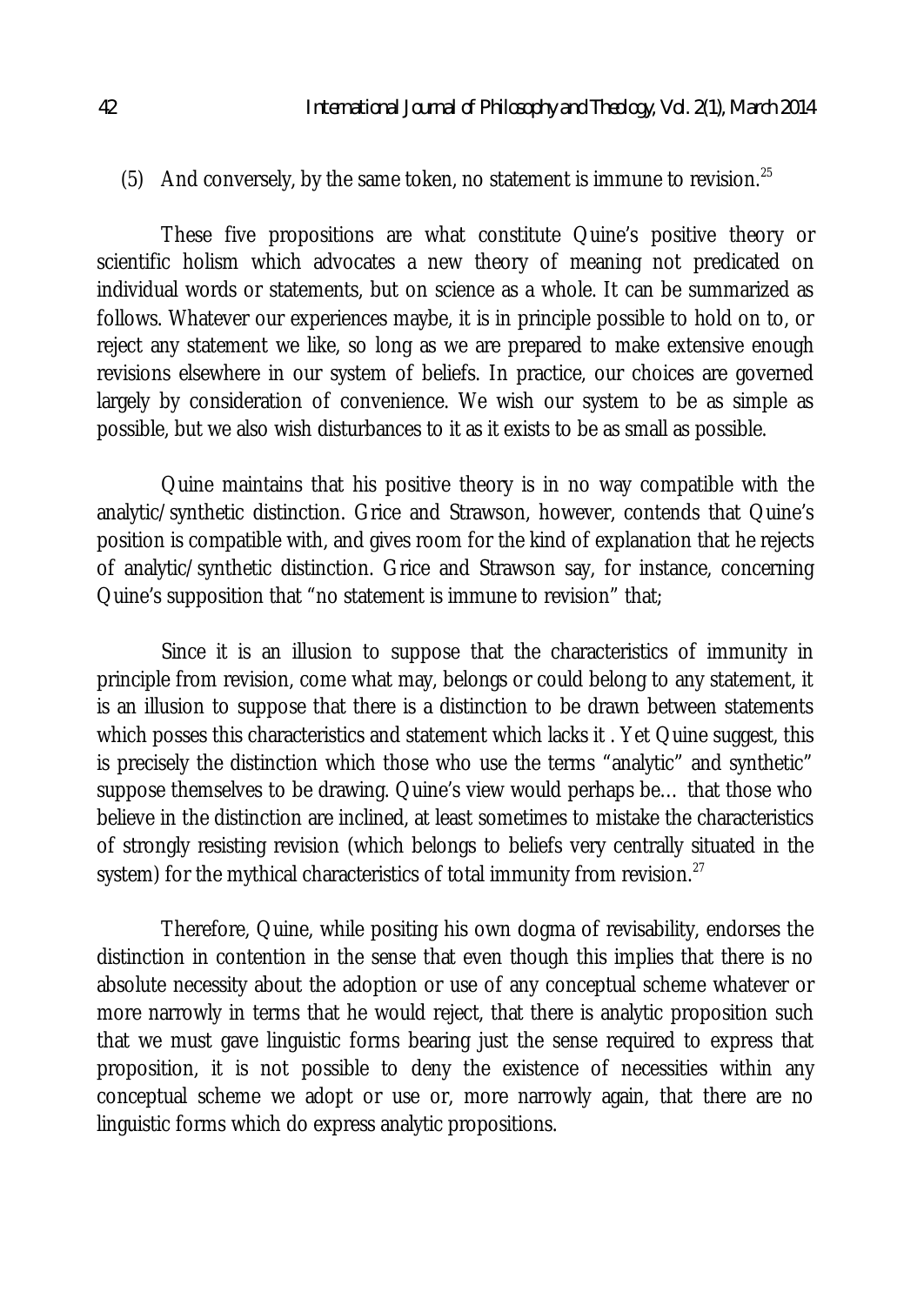## (5) And conversely, by the same token, no statement is immune to revision.<sup>25</sup>

These five propositions are what constitute Quine's positive theory or scientific holism which advocates a new theory of meaning not predicated on individual words or statements, but on science as a whole. It can be summarized as follows. Whatever our experiences maybe, it is in principle possible to hold on to, or reject any statement we like, so long as we are prepared to make extensive enough revisions elsewhere in our system of beliefs. In practice, our choices are governed largely by consideration of convenience. We wish our system to be as simple as possible, but we also wish disturbances to it as it exists to be as small as possible.

Quine maintains that his positive theory is in no way compatible with the analytic/synthetic distinction. Grice and Strawson, however, contends that Quine's position is compatible with, and gives room for the kind of explanation that he rejects of analytic/synthetic distinction. Grice and Strawson say, for instance, concerning Quine's supposition that "no statement is immune to revision" that;

Since it is an illusion to suppose that the characteristics of immunity in principle from revision, come what may, belongs or could belong to any statement, it is an illusion to suppose that there is a distinction to be drawn between statements which posses this characteristics and statement which lacks it . Yet Quine suggest, this is precisely the distinction which those who use the terms "analytic" and synthetic" suppose themselves to be drawing. Quine's view would perhaps be… that those who believe in the distinction are inclined, at least sometimes to mistake the characteristics of strongly resisting revision (which belongs to beliefs very centrally situated in the system) for the mythical characteristics of total immunity from revision. $^{27}$ 

Therefore, Quine, while positing his own dogma of revisability, endorses the distinction in contention in the sense that even though this implies that there is no absolute necessity about the adoption or use of any conceptual scheme whatever or more narrowly in terms that he would reject, that there is analytic proposition such that we must gave linguistic forms bearing just the sense required to express that proposition, it is not possible to deny the existence of necessities within any conceptual scheme we adopt or use or, more narrowly again, that there are no linguistic forms which do express analytic propositions.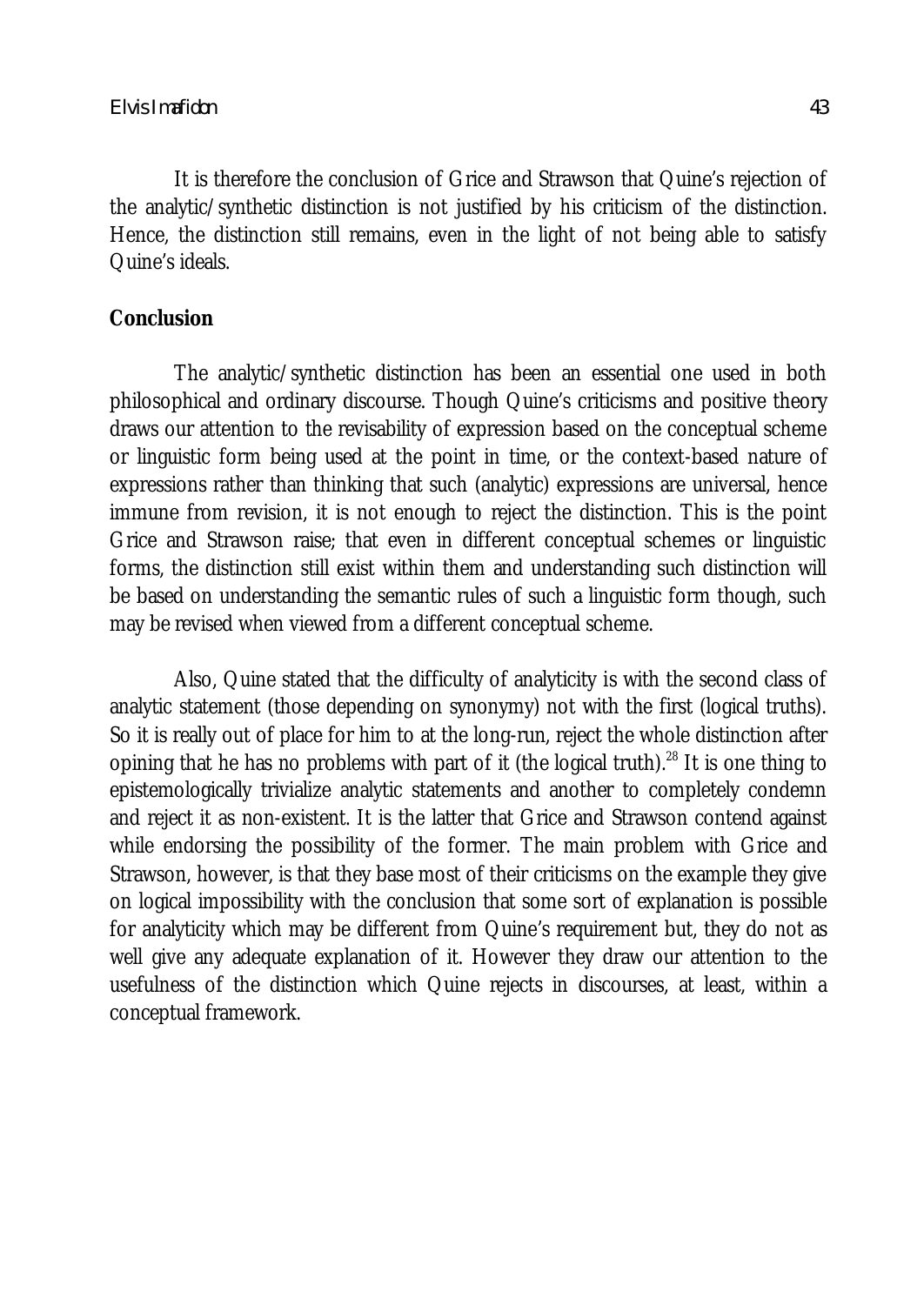It is therefore the conclusion of Grice and Strawson that Quine's rejection of the analytic/synthetic distinction is not justified by his criticism of the distinction. Hence, the distinction still remains, even in the light of not being able to satisfy Quine's ideals.

### **Conclusion**

The analytic/synthetic distinction has been an essential one used in both philosophical and ordinary discourse. Though Quine's criticisms and positive theory draws our attention to the revisability of expression based on the conceptual scheme or linguistic form being used at the point in time, or the context-based nature of expressions rather than thinking that such (analytic) expressions are universal, hence immune from revision, it is not enough to reject the distinction. This is the point Grice and Strawson raise; that even in different conceptual schemes or linguistic forms, the distinction still exist within them and understanding such distinction will be based on understanding the semantic rules of such a linguistic form though, such may be revised when viewed from a different conceptual scheme.

Also, Quine stated that the difficulty of analyticity is with the second class of analytic statement (those depending on synonymy) not with the first (logical truths). So it is really out of place for him to at the long-run, reject the whole distinction after opining that he has no problems with part of it (the logical truth).<sup>28</sup> It is one thing to epistemologically trivialize analytic statements and another to completely condemn and reject it as non-existent. It is the latter that Grice and Strawson contend against while endorsing the possibility of the former. The main problem with Grice and Strawson, however, is that they base most of their criticisms on the example they give on logical impossibility with the conclusion that some sort of explanation is possible for analyticity which may be different from Quine's requirement but, they do not as well give any adequate explanation of it. However they draw our attention to the usefulness of the distinction which Quine rejects in discourses, at least, within a conceptual framework.